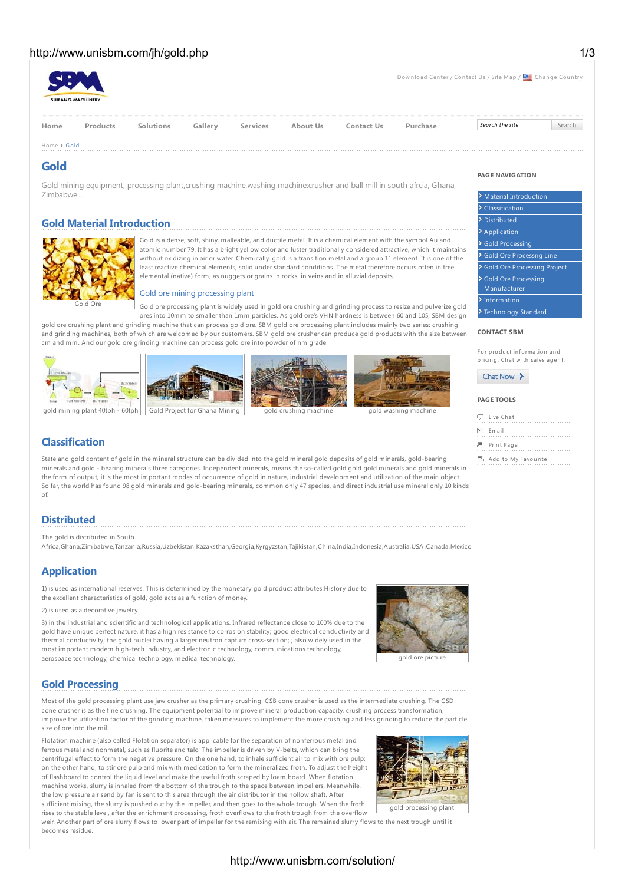# http://www.unisbm.com/ih/gold.php 1/3

|             | <b>SHIBANG MACHINERY</b> |           |         |                 |                 |                   |          | Download Center / Contact Us / Site Map / <b>ECON</b> Change Country |        |
|-------------|--------------------------|-----------|---------|-----------------|-----------------|-------------------|----------|----------------------------------------------------------------------|--------|
| Home        | Products                 | Solutions | Gallery | <b>Services</b> | <b>About Us</b> | <b>Contact Us</b> | Purchase | Search the site                                                      | Search |
| Home > Gold |                          |           |         |                 |                 |                   |          |                                                                      |        |

## **Gold**

Gold mining equipment, processing plant,crushing machine,washing machine:crusher and ball mill in south afrcia, Ghana, Zimbabwe...

# **Gold Material Introduction**



Gold is a dense, soft, shiny, malleable, and ductile metal. It is a chemical element with the symbol Au and atomic number 79. It has a bright yellow color and luster traditionally considered attractive, which it maintains without oxidizing in air or water. Chemically, gold is a transition metal and a group 11 element. It is one of the least reactive chemical elements, solid under standard conditions. The metal therefore occurs often in free elemental (native) form, as nuggets or grains in rocks, in veins and in alluvial deposits.

## Gold ore mining processing plant

Gold ore processing plant is widely used in gold ore crushing and grinding process to resize and pulverize gold ores into 10mm to smaller than 1mm particles. As gold ore's VHN hardness is between 60 and 105, SBM design

gold ore crushing plant and grinding machine that can process gold ore. SBM gold ore processing plant includes mainly two series: crushing and grinding machines, both of which are welcomed by our customers. SBM gold ore crusher can produce gold products with the size between cm and mm. And our gold ore grinding machine can process gold ore into powder of nm grade.











**Classification**

State and gold content of gold in the mineral structure can be divided into the gold mineral gold deposits of gold minerals, gold-bearing minerals and gold - bearing minerals three categories. Independent minerals, means the so-called gold gold gold minerals and gold minerals in the form of output, it is the most important modes of occurrence of gold in nature, industrial development and utilization of the main object. So far, the world has found 98 gold minerals and gold-bearing minerals, common only 47 species, and direct industrial use mineral only 10 kinds of.

# **Distributed**

The gold is distributed in South

Africa,Ghana,Zimbabwe,Tanzania,Russia,Uzbekistan,Kazaksthan,Georgia,Kyrgyzstan,Tajikistan,China,India,Indonesia,Australia,USA,Canada,Mexico

# **Application**

1) is used as international reserves. This is determined by the monetary gold product attributes.History due to the excellent characteristics of gold, gold acts as a function of money.

## 2) is used as a decorative jewelry.

3) in the industrial and scientific and technological applications. Infrared reflectance close to 100% due to the gold have unique perfect nature, it has a high resistance to corrosion stability; good electrical conductivity and thermal conductivity; the gold nuclei having a larger neutron capture cross-section; ; also widely used in the most important modern high-tech industry, and electronic technology, communications technology, aerospace technology, chemical technology, medical technology.



# **Gold Processing**

Most of the gold processing plant use jaw crusher as the primary crushing. CSB cone crusher is used as the intermediate crushing. The CSD cone crusher is as the fine crushing. The equipment potential to improve mineral production capacity, crushing process transformation, improve the utilization factor of the grinding machine, taken measures to implement the more crushing and less grinding to reduce the particle size of ore into the mill.

Flotation machine (also called Flotation separator) is applicable for the separation of nonferrous metal and ferrous metal and nonmetal, such as fluorite and talc. The impeller is driven by V-belts, which can bring the centrifugal effect to form the negative pressure. On the one hand, to inhale sufficient air to mix with ore pulp; on the other hand, to stir ore pulp and mix with medication to form the mineralized froth. To adjust the height of flashboard to control the liquid level and make the useful froth scraped by loam board. When flotation machine works, slurry is inhaled from the bottom of the trough to the space between impellers. Meanwhile, the low pressure air send by fan is sent to this area through the air distributor in the hollow shaft. After sufficient mixing, the slurry is pushed out by the impeller, and then goes to the whole trough. When the froth



rises to the stable level, after the enrichment processing, froth overflows to the froth trough from the overflow weir. Another part of ore slurry flows to lower part of impeller for the remixing with air. The remained slurry flows to the next trough until it becomes residue.

# http://www.unisbm.com/solution/

## **PAGE NAVIGATION**

| .                                  |  |  |  |  |  |  |
|------------------------------------|--|--|--|--|--|--|
|                                    |  |  |  |  |  |  |
| <b>Material Introduction</b>       |  |  |  |  |  |  |
| Classification                     |  |  |  |  |  |  |
| <b>Distributed</b>                 |  |  |  |  |  |  |
| Application                        |  |  |  |  |  |  |
| <b>Gold Processing</b>             |  |  |  |  |  |  |
| <b>Gold Ore Processng Line</b>     |  |  |  |  |  |  |
| <b>Gold Ore Processing Project</b> |  |  |  |  |  |  |
| <b>Gold Ore Processing</b>         |  |  |  |  |  |  |
| Manufacturer                       |  |  |  |  |  |  |
| <b>Information</b>                 |  |  |  |  |  |  |
|                                    |  |  |  |  |  |  |

#### Technology Standard

## **CONTACT SBM**

For produ ct in formation an d pricing, Chat with sales agent:

## Chat Now >

| <b>PAGE TOOLS</b>      |  |  |  |  |  |  |  |  |  |
|------------------------|--|--|--|--|--|--|--|--|--|
|                        |  |  |  |  |  |  |  |  |  |
| D Live Chat            |  |  |  |  |  |  |  |  |  |
| □ Email                |  |  |  |  |  |  |  |  |  |
| <b>固</b> Print Page    |  |  |  |  |  |  |  |  |  |
| Hi Add to My Favourite |  |  |  |  |  |  |  |  |  |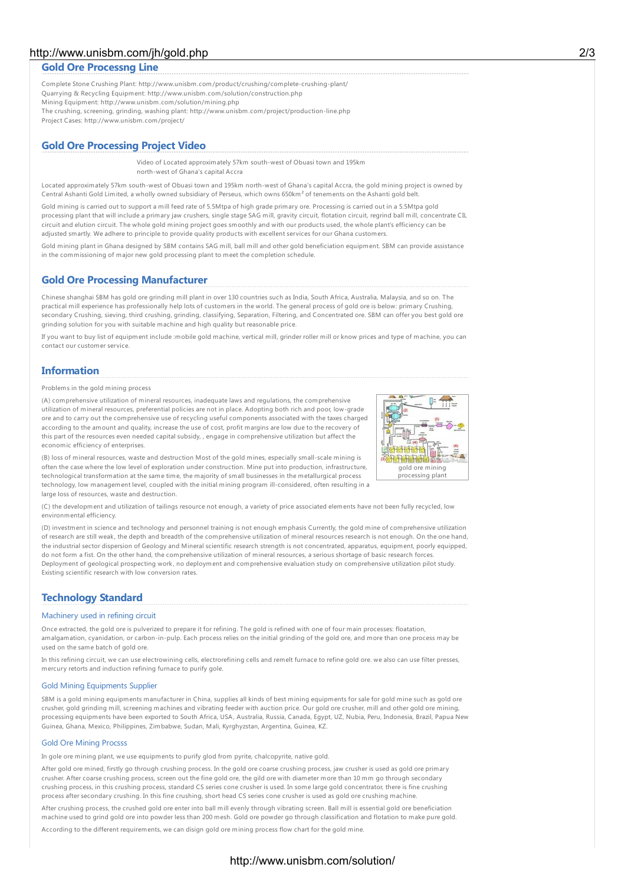# http://www.unisbm.com/jh/gold.php 2/3

## **Gold Ore Processng Line**

Complete Stone Crushing Plant: http://www.unisbm.com/product/crushing/complete-crushing-plant/ Quarrying & Recycling Equipment: http://www.unisbm.com/solution/construction.php Mining Equipment: http://www.unisbm.com/solution/mining.php The crushing, screening, grinding, washing plant: http://www.unisbm.com/project/production-line.php Project Cases: http://www.unisbm.com/project/

## **Gold Ore Processing Project Video**

Video of Located approximately 57km south-west of Obuasi town and 195km north-west of Ghana's capital Accra

Located approximately 57km south-west of Obuasi town and 195km north-west of Ghana's capital Accra, the gold mining project is owned by Central Ashanti Gold Limited, a wholly owned subsidiary of Perseus, which owns 650km² of tenements on the Ashanti gold belt.

Gold mining is carried out to support a mill feed rate of 5.5Mtpa of high grade primary ore. Processing is carried out in a 5.5Mtpa gold processing plant that will include a primary jaw crushers, single stage SAG mill, gravity circuit, flotation circuit, regrind ball mill, concentrate CIL circuit and elution circuit. The whole gold mining project goes smoothly and with our products used, the whole plant's efficiency can be adjusted smartly. We adhere to principle to provide quality products with excellent services for our Ghana customers.

Gold mining plant in Ghana designed by SBM contains SAG mill, ball mill and other gold beneficiation equipment. SBM can provide assistance in the commissioning of major new gold processing plant to meet the completion schedule.

## **Gold Ore Processing Manufacturer**

Chinese shanghai SBM has gold ore grinding mill plant in over 130 countries such as India, South Africa, Australia, Malaysia, and so on. The practical mill experience has professionally help lots of customers in the world. The general process of gold ore is below: primary Crushing, secondary Crushing, sieving, third crushing, grinding, classifying, Separation, Filtering, and Concentrated ore. SBM can offer you best gold ore grinding solution for you with suitable machine and high quality but reasonable price.

If you want to buy list of equipment include :mobile gold machine, vertical mill, grinder roller mill or know prices and type of machine, you can contact our customer service.

# **Information**

Problems in the gold mining process

(A) comprehensive utilization of mineral resources, inadequate laws and regulations, the comprehensive utilization of mineral resources, preferential policies are not in place. Adopting both rich and poor, low-grade ore and to carry out the comprehensive use of recycling useful components associated with the taxes charged according to the amount and quality, increase the use of cost, profit margins are low due to the recovery of this part of the resources even needed capital subsidy, , engage in comprehensive utilization but affect the economic efficiency of enterprises.



(B) loss of mineral resources, waste and destruction Most of the gold mines, especially small-scale mining is often the case where the low level of exploration under construction. Mine put into production, infrastructure, technological transformation at the same time, the majority of small businesses in the metallurgical process technology, low management level, coupled with the initial mining program ill-considered, often resulting in a large loss of resources, waste and destruction.

(C) the development and utilization of tailings resource not enough, a variety of price associated elements have not been fully recycled, low environmental efficiency.

(D) investment in science and technology and personnel training is not enough emphasis Currently, the gold mine of comprehensive utilization of research are still weak, the depth and breadth of the comprehensive utilization of mineral resources research is not enough. On the one hand, the industrial sector dispersion of Geology and Mineral scientific research strength is not concentrated, apparatus, equipment, poorly equipped, do not form a fist. On the other hand, the comprehensive utilization of mineral resources, a serious shortage of basic research forces. Deployment of geological prospecting work, no deployment and comprehensive evaluation study on comprehensive utilization pilot study. Existing scientific research with low conversion rates.

# **Technology Standard**

## Machinery used in refining circuit

Once extracted, the gold ore is pulverized to prepare it for refining. The gold is refined with one of four main processes: floatation, amalgamation, cyanidation, or carbon-in-pulp. Each process relies on the initial grinding of the gold ore, and more than one process may be used on the same batch of gold ore.

In this refining circuit, we can use electrowining cells, electrorefining cells and remelt furnace to refine gold ore. we also can use filter presses, mercury retorts and induction refining furnace to purify gole.

#### Gold Mining Equipments Supplier

SBM is a gold mining equipments manufacturer in China, supplies all kinds of best mining equipments for sale for gold mine such as gold ore crusher, gold grinding mill, screening machines and vibrating feeder with auction price. Our gold ore crusher, mill and other gold ore mining, processing equipments have been exported to South Africa, USA, Australia, Russia, Canada, Egypt, UZ, Nubia, Peru, Indonesia, Brazil, Papua New Guinea, Ghana, Mexico, Philippines, Zimbabwe, Sudan, Mali, Kyrghyzstan, Argentina, Guinea, KZ.

#### Gold Ore Mining Procsss

In gole ore mining plant, we use equipments to purify glod from pyrite, chalcopyrite, native gold.

After gold ore mined, firstly go through crushing process. In the gold ore coarse crushing process, jaw crusher is used as gold ore primary crusher. After coarse crushing process, screen out the fine gold ore, the gild ore with diameter more than 10 mm go through secondary crushing process, in this crushing process, standard CS series cone crusher is used. In some large gold concentrator, there is fine crushing process after secondary crushing. In this fine crushing, short head CS series cone crusher is used as gold ore crushing machine.

After crushing process, the crushed gold ore enter into ball mill evenly through vibrating screen. Ball mill is essential gold ore beneficiation machine used to grind gold ore into powder less than 200 mesh. Gold ore powder go through classification and flotation to make pure gold.

According to the different requirements, we can disign gold ore mining process flow chart for the gold mine.

# http://www.unisbm.com/solution/